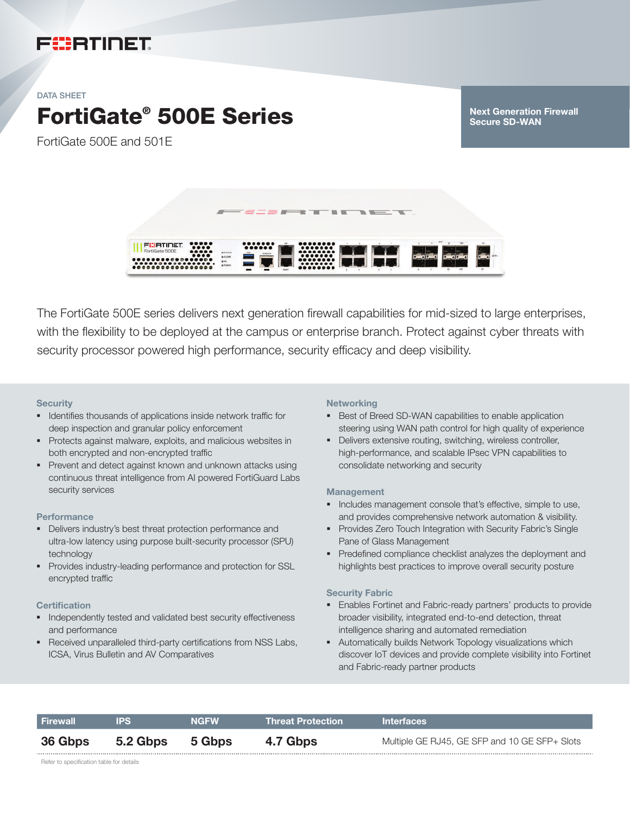# FURTIDET

#### DATA SHEET

# FortiGate® 500E Series

FortiGate 500E and 501E

Next Generation Firewall Secure SD-WAN



The FortiGate 500E series delivers next generation firewall capabilities for mid-sized to large enterprises, with the flexibility to be deployed at the campus or enterprise branch. Protect against cyber threats with security processor powered high performance, security efficacy and deep visibility.

#### **Security**

- Identifies thousands of applications inside network traffic for deep inspection and granular policy enforcement
- § Protects against malware, exploits, and malicious websites in both encrypted and non-encrypted traffic
- § Prevent and detect against known and unknown attacks using continuous threat intelligence from AI powered FortiGuard Labs security services

#### **Performance**

- § Delivers industry's best threat protection performance and ultra-low latency using purpose built-security processor (SPU) technology
- § Provides industry-leading performance and protection for SSL encrypted traffic

#### **Certification**

- § Independently tested and validated best security effectiveness and performance
- Received unparalleled third-party certifications from NSS Labs, ICSA, Virus Bulletin and AV Comparatives

#### **Networking**

- Best of Breed SD-WAN capabilities to enable application steering using WAN path control for high quality of experience
- Delivers extensive routing, switching, wireless controller, high-performance, and scalable IPsec VPN capabilities to consolidate networking and security

#### Management

- § Includes management console that's effective, simple to use, and provides comprehensive network automation & visibility.
- Provides Zero Touch Integration with Security Fabric's Single Pane of Glass Management
- Predefined compliance checklist analyzes the deployment and highlights best practices to improve overall security posture

#### Security Fabric

- Enables Fortinet and Fabric-ready partners' products to provide broader visibility, integrated end-to-end detection, threat intelligence sharing and automated remediation
- **Automatically builds Network Topology visualizations which** discover IoT devices and provide complete visibility into Fortinet and Fabric-ready partner products

| Firewall       | <b>IPS</b>      | <b>NGFW</b> | <b>Threat Protection</b> | <b>Interfaces</b>                             |
|----------------|-----------------|-------------|--------------------------|-----------------------------------------------|
| <b>36 Gbps</b> | 5.2 Gbps 5 Gbps |             | 4.7 Gbps                 | Multiple GE RJ45, GE SFP and 10 GE SFP+ Slots |

Refer to specification table for details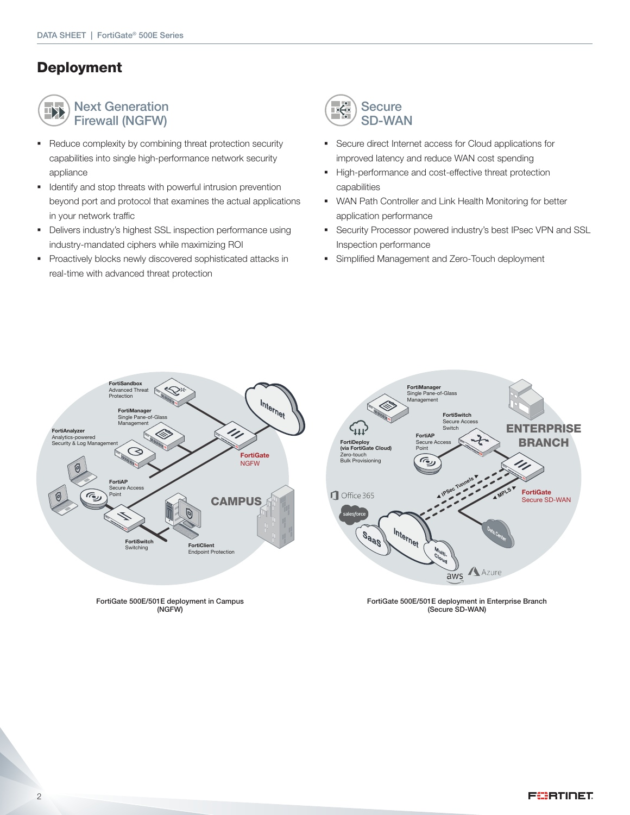### Deployment



Next Generation Firewall (NGFW)

- Reduce complexity by combining threat protection security capabilities into single high-performance network security appliance
- § Identify and stop threats with powerful intrusion prevention beyond port and protocol that examines the actual applications in your network traffic
- § Delivers industry's highest SSL inspection performance using industry-mandated ciphers while maximizing ROI
- § Proactively blocks newly discovered sophisticated attacks in real-time with advanced threat protection



- Secure direct Internet access for Cloud applications for improved latency and reduce WAN cost spending
- § High-performance and cost-effective threat protection capabilities
- WAN Path Controller and Link Health Monitoring for better application performance
- **•** Security Processor powered industry's best IPsec VPN and SSL Inspection performance
- § Simplified Management and Zero-Touch deployment



FortiGate 500E/501E deployment in Campus (NGFW)



FortiGate 500E/501E deployment in Enterprise Branch (Secure SD-WAN)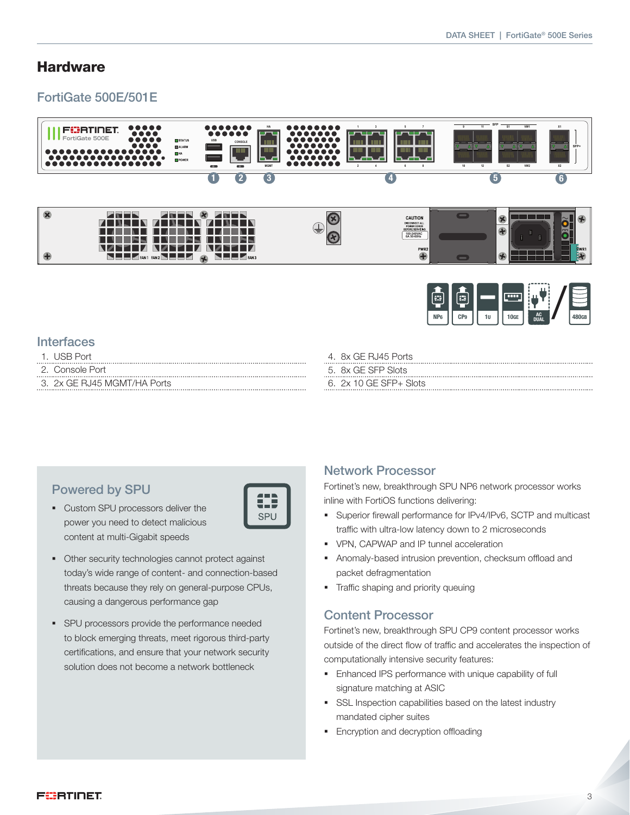### **Hardware**

### FortiGate 500E/501E





### **Interfaces**

- 1. USB Port
- 2. Console Port
- 3. 2x GE RJ45 MGMT/HA Ports
- 4. 8x GE RJ45 Ports
- 5. 8x GE SFP Slots
- 6. 2x 10 GE SFP+ Slots

### Powered by SPU

- Custom SPU processors deliver the power you need to detect malicious content at multi-Gigabit speeds
- 13 **SPU**
- § Other security technologies cannot protect against today's wide range of content- and connection-based threats because they rely on general-purpose CPUs, causing a dangerous performance gap
- § SPU processors provide the performance needed to block emerging threats, meet rigorous third-party certifications, and ensure that your network security solution does not become a network bottleneck

### Network Processor

Fortinet's new, breakthrough SPU NP6 network processor works inline with FortiOS functions delivering:

- § Superior firewall performance for IPv4/IPv6, SCTP and multicast traffic with ultra-low latency down to 2 microseconds
- § VPN, CAPWAP and IP tunnel acceleration
- § Anomaly-based intrusion prevention, checksum offload and packet defragmentation
- § Traffic shaping and priority queuing

#### Content Processor

Fortinet's new, breakthrough SPU CP9 content processor works outside of the direct flow of traffic and accelerates the inspection of computationally intensive security features:

- **Enhanced IPS performance with unique capability of full** signature matching at ASIC
- **SSL Inspection capabilities based on the latest industry** mandated cipher suites
- **Encryption and decryption offloading**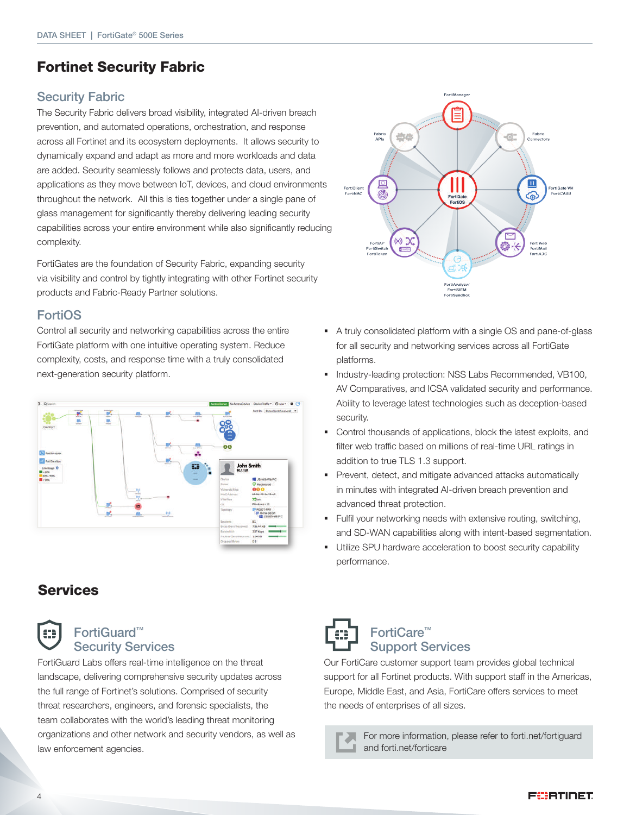## Fortinet Security Fabric

### Security Fabric

The Security Fabric delivers broad visibility, integrated AI-driven breach prevention, and automated operations, orchestration, and response across all Fortinet and its ecosystem deployments. It allows security to dynamically expand and adapt as more and more workloads and data are added. Security seamlessly follows and protects data, users, and applications as they move between IoT, devices, and cloud environments throughout the network. All this is ties together under a single pane of glass management for significantly thereby delivering leading security capabilities across your entire environment while also significantly reducing complexity.

FortiGates are the foundation of Security Fabric, expanding security via visibility and control by tightly integrating with other Fortinet security products and Fabric-Ready Partner solutions.

### FortiOS

Control all security and networking capabilities across the entire FortiGate platform with one intuitive operating system. Reduce complexity, costs, and response time with a truly consolidated next-generation security platform.



# **Services**



### FortiGuard™ Security Services

FortiGuard Labs offers real-time intelligence on the threat landscape, delivering comprehensive security updates across the full range of Fortinet's solutions. Comprised of security threat researchers, engineers, and forensic specialists, the team collaborates with the world's leading threat monitoring organizations and other network and security vendors, as well as law enforcement agencies.



- § A truly consolidated platform with a single OS and pane-of-glass for all security and networking services across all FortiGate platforms.
- § Industry-leading protection: NSS Labs Recommended, VB100, AV Comparatives, and ICSA validated security and performance. Ability to leverage latest technologies such as deception-based security.
- § Control thousands of applications, block the latest exploits, and filter web traffic based on millions of real-time URL ratings in addition to true TLS 1.3 support.
- Prevent, detect, and mitigate advanced attacks automatically in minutes with integrated AI-driven breach prevention and advanced threat protection.
- Fulfil your networking needs with extensive routing, switching, and SD-WAN capabilities along with intent-based segmentation.
- § Utilize SPU hardware acceleration to boost security capability performance.



### FortiCare™ Support Services

Our FortiCare customer support team provides global technical support for all Fortinet products. With support staff in the Americas, Europe, Middle East, and Asia, FortiCare offers services to meet the needs of enterprises of all sizes.

> For more information, please refer to forti.net/fortiguard л and forti.net/forticare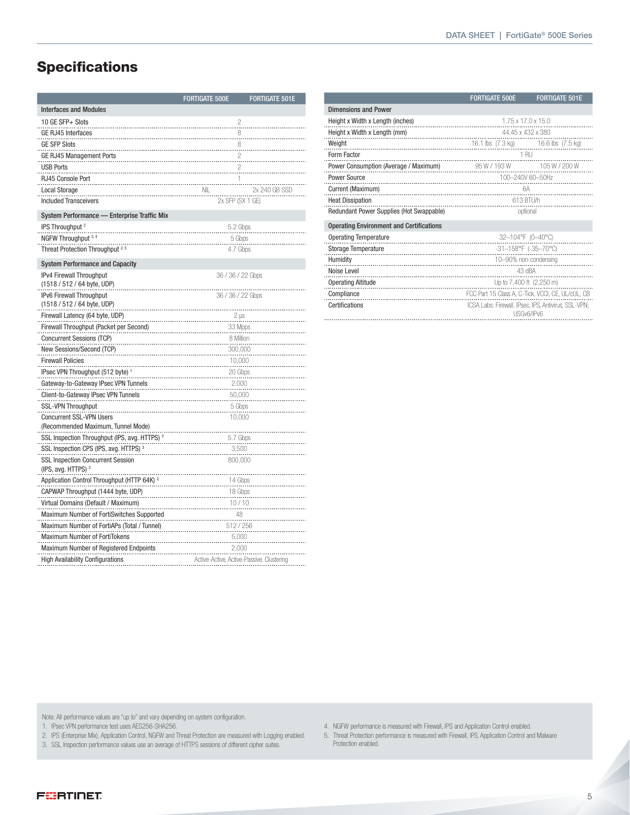# **Specifications**

|                                                                    | <b>FORTIGATE 500E</b> | <b>FORTIGATE 501E</b>                     |  |  |  |
|--------------------------------------------------------------------|-----------------------|-------------------------------------------|--|--|--|
| <b>Interfaces and Modules</b>                                      |                       |                                           |  |  |  |
| 10 GE SFP+ Slots                                                   |                       | 2                                         |  |  |  |
| <b>GE RJ45 Interfaces</b>                                          | 8                     |                                           |  |  |  |
| <b>GE SFP Slots</b>                                                | 8                     |                                           |  |  |  |
| <b>GE RJ45 Management Ports</b>                                    | $\overline{a}$        |                                           |  |  |  |
| <b>USB Ports</b>                                                   | $\overline{c}$        |                                           |  |  |  |
| RJ45 Console Port                                                  | 1                     |                                           |  |  |  |
| <b>Local Storage</b>                                               | <b>NIL</b>            | 2x 240 GB SSD                             |  |  |  |
| <b>Included Transceivers</b>                                       | 2x SFP (SX 1 GE)      |                                           |  |  |  |
| System Performance - Enterprise Traffic Mix                        |                       |                                           |  |  |  |
| IPS Throughput <sup>2</sup>                                        | 5.2 Gbps              |                                           |  |  |  |
| NGFW Throughput <sup>2,</sup>                                      | 5 Gbps                |                                           |  |  |  |
| Threat Protection Throughput <sup>2,5</sup>                        | 4.7 Gbps              |                                           |  |  |  |
| <b>System Performance and Capacity</b>                             |                       |                                           |  |  |  |
| IPv4 Firewall Throughput                                           | 36 / 36 / 22 Gbps     |                                           |  |  |  |
| (1518 / 512 / 64 byte, UDP)                                        |                       |                                           |  |  |  |
| IPv6 Firewall Throughput                                           | 36 / 36 / 22 Gbps     |                                           |  |  |  |
| (1518 / 512 / 64 byte, UDP)                                        |                       |                                           |  |  |  |
| Firewall Latency (64 byte, UDP)                                    | $2 \mu s$             |                                           |  |  |  |
| Firewall Throughput (Packet per Second)                            |                       | 33 Mpps                                   |  |  |  |
| Concurrent Sessions (TCP)                                          |                       | 8 Million                                 |  |  |  |
| New Sessions/Second (TCP)                                          | 300,000               |                                           |  |  |  |
| <b>Firewall Policies</b>                                           | 10,000                |                                           |  |  |  |
| IPsec VPN Throughput (512 byte) 1                                  | 20 Gbps               |                                           |  |  |  |
| Gateway-to-Gateway IPsec VPN Tunnels                               | 2,000                 |                                           |  |  |  |
| Client-to-Gateway IPsec VPN Tunnels                                |                       | 50,000                                    |  |  |  |
| <b>SSL-VPN Throughput</b>                                          |                       | 5 Gbps                                    |  |  |  |
| <b>Concurrent SSL-VPN Users</b>                                    | 10,000                |                                           |  |  |  |
| (Recommended Maximum, Tunnel Mode)                                 |                       |                                           |  |  |  |
| SSL Inspection Throughput (IPS, avg. HTTPS) <sup>3</sup>           |                       | 5.7 Gbps                                  |  |  |  |
| SSL Inspection CPS (IPS, avg. HTTPS) <sup>3</sup>                  |                       | 3,500                                     |  |  |  |
| <b>SSL Inspection Concurrent Session</b><br>(IPS, avg. HTTPS) $^3$ | 800,000               |                                           |  |  |  |
| Application Control Throughput (HTTP 64K) <sup>2</sup>             | 14 Gbps               |                                           |  |  |  |
| CAPWAP Throughput (1444 byte, UDP)                                 |                       | 18 Gbps                                   |  |  |  |
| Virtual Domains (Default / Maximum)                                |                       | 10/10                                     |  |  |  |
| Maximum Number of FortiSwitches Supported                          |                       | 48                                        |  |  |  |
| Maximum Number of FortiAPs (Total / Tunnel)                        |                       | 512 / 256                                 |  |  |  |
| <b>Maximum Number of FortiTokens</b>                               | 5,000                 |                                           |  |  |  |
| Maximum Number of Registered Endpoints                             | 2,000                 |                                           |  |  |  |
| <b>High Availability Configurations</b>                            |                       | Active-Active, Active-Passive, Clustering |  |  |  |

|                                                 | <b>FORTIGATE 500E</b>                                              | <b>FORTIGATE 501E</b> |  |  |
|-------------------------------------------------|--------------------------------------------------------------------|-----------------------|--|--|
| <b>Dimensions and Power</b>                     |                                                                    |                       |  |  |
| Height x Width x Length (inches)                | 1.75 x 17.0 x 15.0                                                 |                       |  |  |
| Height x Width x Length (mm)                    | 44.45 x 432 x 380                                                  |                       |  |  |
| Weight                                          | 16.1 lbs (7.3 kg) 16.6 lbs (7.5 kg)                                |                       |  |  |
| Form Factor                                     | 1 RU                                                               |                       |  |  |
| Power Consumption (Average / Maximum)           | 95 W / 193 W 105 W / 200 W                                         |                       |  |  |
| Power Source                                    | 100-240V 60-50Hz                                                   |                       |  |  |
| Current (Maximum)                               | 6A<br>.                                                            |                       |  |  |
| <b>Heat Dissipation</b>                         | 613 BTU/h                                                          |                       |  |  |
| Redundant Power Supplies (Hot Swappable)        | optional                                                           |                       |  |  |
| <b>Operating Environment and Certifications</b> |                                                                    |                       |  |  |
| <b>Operating Temperature</b>                    | 32-104°F (0-40°C)                                                  |                       |  |  |
| Storage Temperature                             | -31-158°F (-35-70°C)                                               |                       |  |  |
| Humidity                                        | 10-90% non-condensing                                              |                       |  |  |
| Noise Level                                     | 43 dBA                                                             |                       |  |  |
| <b>Operating Altitude</b>                       | Up to 7,400 ft (2,250 m)                                           |                       |  |  |
| Compliance                                      | FCC Part 15 Class A, C-Tick, VCCI, CE, UL/cUL, CB                  |                       |  |  |
| Certifications<br>                              | ICSA Labs: Firewall, IPsec, IPS, Antivirus, SSL-VPN;<br>USGv6/IPv6 |                       |  |  |

Note: All performance values are "up to" and vary depending on system configuration.

1. IPsec VPN performance test uses AES256-SHA256.

2. IPS (Enterprise Mix), Application Control, NGFW and Threat Protection are measured with Logging enabled.

- 3. SSL Inspection performance values use an average of HTTPS sessions of different cipher suites.
- 4. NGFW performance is measured with Firewall, IPS and Application Control enabled.
- 5. Threat Protection performance is measured with Firewall, IPS, Application Control and Malware Protection enabled.